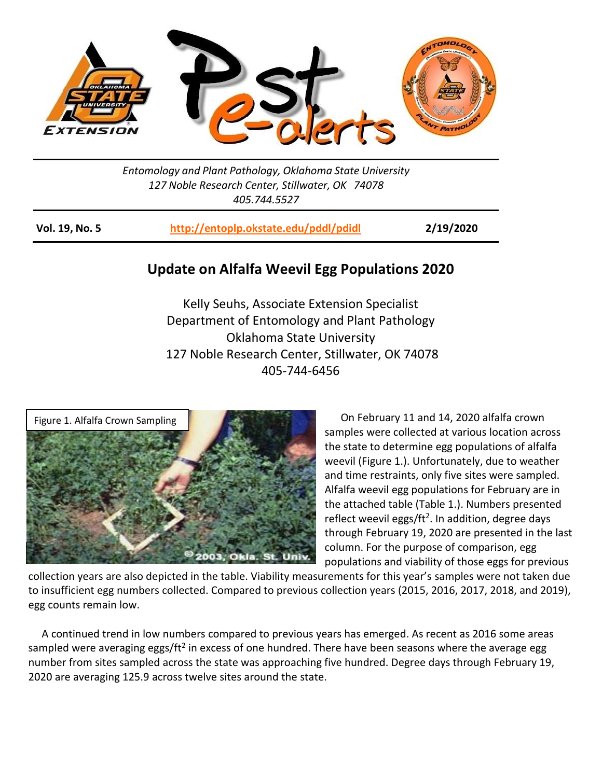

*Entomology and Plant Pathology, Oklahoma State University 127 Noble Research Center, Stillwater, OK 74078 405.744.5527*

**Vol. 19, No. 5 <http://entoplp.okstate.edu/pddl/pdidl> 2/19/2020**

## **Update on Alfalfa Weevil Egg Populations 2020**

Kelly Seuhs, Associate Extension Specialist Department of Entomology and Plant Pathology Oklahoma State University 127 Noble Research Center, Stillwater, OK 74078 405-744-6456



 On February 11 and 14, 2020 alfalfa crown samples were collected at various location across the state to determine egg populations of alfalfa weevil (Figure 1.). Unfortunately, due to weather and time restraints, only five sites were sampled. Alfalfa weevil egg populations for February are in the attached table (Table 1.). Numbers presented reflect weevil eggs/ft<sup>2</sup>. In addition, degree days through February 19, 2020 are presented in the last column. For the purpose of comparison, egg populations and viability of those eggs for previous

collection years are also depicted in the table. Viability measurements for this year's samples were not taken due to insufficient egg numbers collected. Compared to previous collection years (2015, 2016, 2017, 2018, and 2019), egg counts remain low.

 A continued trend in low numbers compared to previous years has emerged. As recent as 2016 some areas sampled were averaging eggs/ft<sup>2</sup> in excess of one hundred. There have been seasons where the average egg number from sites sampled across the state was approaching five hundred. Degree days through February 19, 2020 are averaging 125.9 across twelve sites around the state.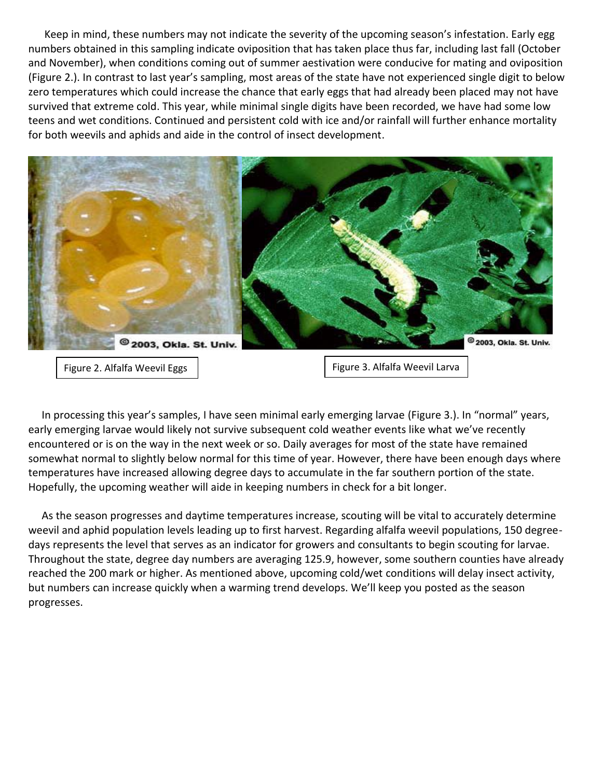Keep in mind, these numbers may not indicate the severity of the upcoming season's infestation. Early egg numbers obtained in this sampling indicate oviposition that has taken place thus far, including last fall (October and November), when conditions coming out of summer aestivation were conducive for mating and oviposition (Figure 2.). In contrast to last year's sampling, most areas of the state have not experienced single digit to below zero temperatures which could increase the chance that early eggs that had already been placed may not have survived that extreme cold. This year, while minimal single digits have been recorded, we have had some low teens and wet conditions. Continued and persistent cold with ice and/or rainfall will further enhance mortality for both weevils and aphids and aide in the control of insect development.



 In processing this year's samples, I have seen minimal early emerging larvae (Figure 3.). In "normal" years, early emerging larvae would likely not survive subsequent cold weather events like what we've recently encountered or is on the way in the next week or so. Daily averages for most of the state have remained somewhat normal to slightly below normal for this time of year. However, there have been enough days where temperatures have increased allowing degree days to accumulate in the far southern portion of the state. Hopefully, the upcoming weather will aide in keeping numbers in check for a bit longer.

 As the season progresses and daytime temperatures increase, scouting will be vital to accurately determine weevil and aphid population levels leading up to first harvest. Regarding alfalfa weevil populations, 150 degreedays represents the level that serves as an indicator for growers and consultants to begin scouting for larvae. Throughout the state, degree day numbers are averaging 125.9, however, some southern counties have already reached the 200 mark or higher. As mentioned above, upcoming cold/wet conditions will delay insect activity, but numbers can increase quickly when a warming trend develops. We'll keep you posted as the season progresses.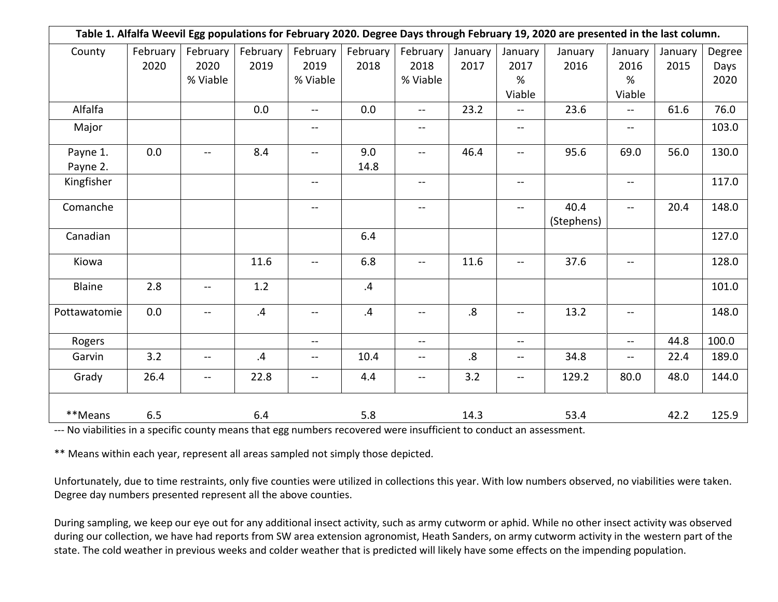| Table 1. Alfalfa Weevil Egg populations for February 2020. Degree Days through February 19, 2020 are presented in the last column. |          |                          |          |                                               |          |                |                   |                          |            |                          |         |        |
|------------------------------------------------------------------------------------------------------------------------------------|----------|--------------------------|----------|-----------------------------------------------|----------|----------------|-------------------|--------------------------|------------|--------------------------|---------|--------|
| County                                                                                                                             | February | February                 | February | February                                      | February | February       | January           | January                  | January    | January                  | January | Degree |
|                                                                                                                                    | 2020     | 2020                     | 2019     | 2019                                          | 2018     | 2018           | 2017              | 2017                     | 2016       | 2016                     | 2015    | Days   |
|                                                                                                                                    |          | % Viable                 |          | % Viable                                      |          | % Viable       |                   | %                        |            | %                        |         | 2020   |
|                                                                                                                                    |          |                          |          |                                               |          |                |                   | Viable                   |            | Viable                   |         |        |
| Alfalfa                                                                                                                            |          |                          | 0.0      | $\qquad \qquad -$                             | 0.0      | $-$            | 23.2              | $\overline{\phantom{a}}$ | 23.6       | $-$                      | 61.6    | 76.0   |
| Major                                                                                                                              |          |                          |          | $\overline{\phantom{m}}$                      |          | --             |                   | $\qquad \qquad -$        |            | --                       |         | 103.0  |
| Payne 1.                                                                                                                           | 0.0      | $-$                      | 8.4      | $-$                                           | 9.0      | $\overline{a}$ | 46.4              | $\overline{\phantom{a}}$ | 95.6       | 69.0                     | 56.0    | 130.0  |
| Payne 2.                                                                                                                           |          |                          |          |                                               | 14.8     |                |                   |                          |            |                          |         |        |
| Kingfisher                                                                                                                         |          |                          |          | $-$                                           |          | --             |                   | $-$                      |            | $\overline{\phantom{a}}$ |         | 117.0  |
| Comanche                                                                                                                           |          |                          |          | $-$                                           |          | $- -$          |                   | $-$                      | 40.4       | $\overline{\phantom{a}}$ | 20.4    | 148.0  |
|                                                                                                                                    |          |                          |          |                                               |          |                |                   |                          | (Stephens) |                          |         |        |
| Canadian                                                                                                                           |          |                          |          |                                               | 6.4      |                |                   |                          |            |                          |         | 127.0  |
| Kiowa                                                                                                                              |          |                          | 11.6     | $\mathord{\hspace{1pt}\text{--}\hspace{1pt}}$ | 6.8      | $- -$          | 11.6              | $\overline{\phantom{a}}$ | 37.6       | $-$                      |         | 128.0  |
| Blaine                                                                                                                             | 2.8      | $- -$                    | 1.2      |                                               | .4       |                |                   |                          |            |                          |         | 101.0  |
| Pottawatomie                                                                                                                       | 0.0      | $\overline{\phantom{a}}$ | .4       | $-$                                           | .4       | $\overline{a}$ | $\boldsymbol{.8}$ | $-$                      | 13.2       | $-$                      |         | 148.0  |
| Rogers                                                                                                                             |          |                          |          | $\overline{\phantom{a}}$                      |          | --             |                   | $\overline{\phantom{a}}$ |            | $\overline{\phantom{a}}$ | 44.8    | 100.0  |
| Garvin                                                                                                                             | 3.2      | $\overline{\phantom{a}}$ | .4       | $\qquad \qquad \qquad -$                      | 10.4     | $- -$          | .8                | $- -$                    | 34.8       | $- -$                    | 22.4    | 189.0  |
| Grady                                                                                                                              | 26.4     | $-$                      | 22.8     | $\overline{\phantom{a}}$                      | 4.4      | --             | 3.2               | $-$                      | 129.2      | 80.0                     | 48.0    | 144.0  |
| **Means                                                                                                                            | 6.5      |                          | 6.4      |                                               | 5.8      |                | 14.3              |                          | 53.4       |                          | 42.2    | 125.9  |

--- No viabilities in a specific county means that egg numbers recovered were insufficient to conduct an assessment.

\*\* Means within each year, represent all areas sampled not simply those depicted.

Unfortunately, due to time restraints, only five counties were utilized in collections this year. With low numbers observed, no viabilities were taken. Degree day numbers presented represent all the above counties.

During sampling, we keep our eye out for any additional insect activity, such as army cutworm or aphid. While no other insect activity was observed during our collection, we have had reports from SW area extension agronomist, Heath Sanders, on army cutworm activity in the western part of the state. The cold weather in previous weeks and colder weather that is predicted will likely have some effects on the impending population.